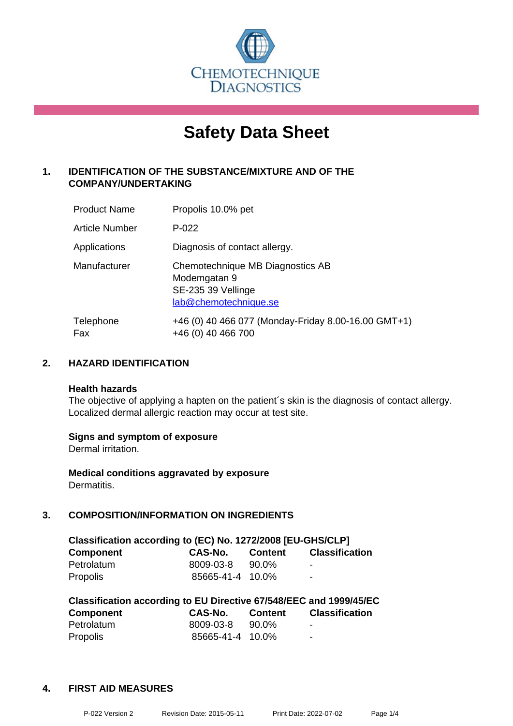

# **Safety Data Sheet**

# **1. IDENTIFICATION OF THE SUBSTANCE/MIXTURE AND OF THE COMPANY/UNDERTAKING**

| <b>Product Name</b> | Propolis 10.0% pet                                                                              |
|---------------------|-------------------------------------------------------------------------------------------------|
| Article Number      | $P-022$                                                                                         |
| Applications        | Diagnosis of contact allergy.                                                                   |
| Manufacturer        | Chemotechnique MB Diagnostics AB<br>Modemgatan 9<br>SE-235 39 Vellinge<br>lab@chemotechnique.se |
| Telephone<br>Fax    | +46 (0) 40 466 077 (Monday-Friday 8.00-16.00 GMT+1)<br>+46 (0) 40 466 700                       |

# **2. HAZARD IDENTIFICATION**

#### **Health hazards**

The objective of applying a hapten on the patient's skin is the diagnosis of contact allergy. Localized dermal allergic reaction may occur at test site.

#### **Signs and symptom of exposure**

Dermal irritation.

**Medical conditions aggravated by exposure** Dermatitis.

# **3. COMPOSITION/INFORMATION ON INGREDIENTS**

| Classification according to (EC) No. 1272/2008 [EU-GHS/CLP] |                  |                |                       |  |
|-------------------------------------------------------------|------------------|----------------|-----------------------|--|
| <b>Component</b>                                            | CAS-No.          | <b>Content</b> | <b>Classification</b> |  |
| Petrolatum                                                  | 8009-03-8        | 90.0%          | -                     |  |
| Propolis                                                    | 85665-41-4 10.0% |                | $\blacksquare$        |  |

| Classification according to EU Directive 67/548/EEC and 1999/45/EC |                  |                |                       |  |  |
|--------------------------------------------------------------------|------------------|----------------|-----------------------|--|--|
| <b>Component</b>                                                   | CAS-No.          | <b>Content</b> | <b>Classification</b> |  |  |
| Petrolatum                                                         | 8009-03-8        | 90.0%          | -                     |  |  |
| <b>Propolis</b>                                                    | 85665-41-4 10.0% |                | -                     |  |  |

#### **4. FIRST AID MEASURES**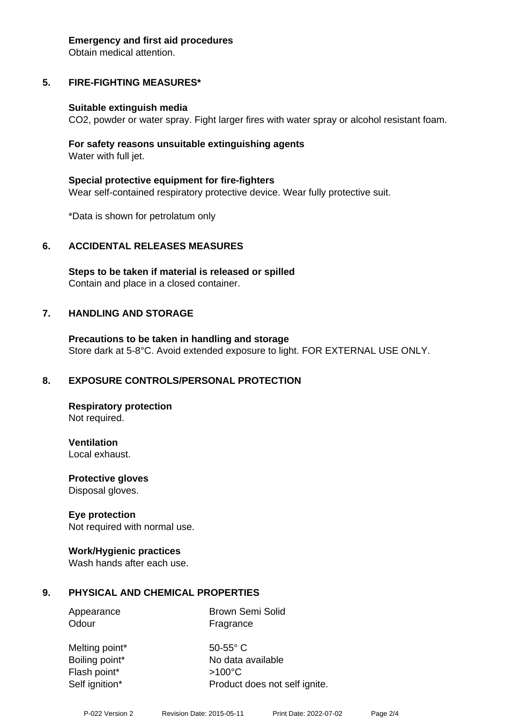#### **Emergency and first aid procedures**

Obtain medical attention.

# **5. FIRE-FIGHTING MEASURES\***

#### **Suitable extinguish media**

CO2, powder or water spray. Fight larger fires with water spray or alcohol resistant foam.

#### **For safety reasons unsuitable extinguishing agents** Water with full jet.

**Special protective equipment for fire-fighters** Wear self-contained respiratory protective device. Wear fully protective suit.

\*Data is shown for petrolatum only

#### **6. ACCIDENTAL RELEASES MEASURES**

**Steps to be taken if material is released or spilled** Contain and place in a closed container.

#### **7. HANDLING AND STORAGE**

**Precautions to be taken in handling and storage** Store dark at 5-8°C. Avoid extended exposure to light. FOR EXTERNAL USE ONLY.

#### **8. EXPOSURE CONTROLS/PERSONAL PROTECTION**

**Respiratory protection** Not required.

**Ventilation**

Local exhaust.

**Protective gloves** Disposal gloves.

#### **Eye protection**

Not required with normal use.

#### **Work/Hygienic practices**

Wash hands after each use.

#### **9. PHYSICAL AND CHEMICAL PROPERTIES**

Appearance **Brown Semi Solid** Odour **Fragrance** 

Melting point\* 50-55° C Boiling point\* No data available Flash point\* >100°C Self ignition\* Product does not self ignite.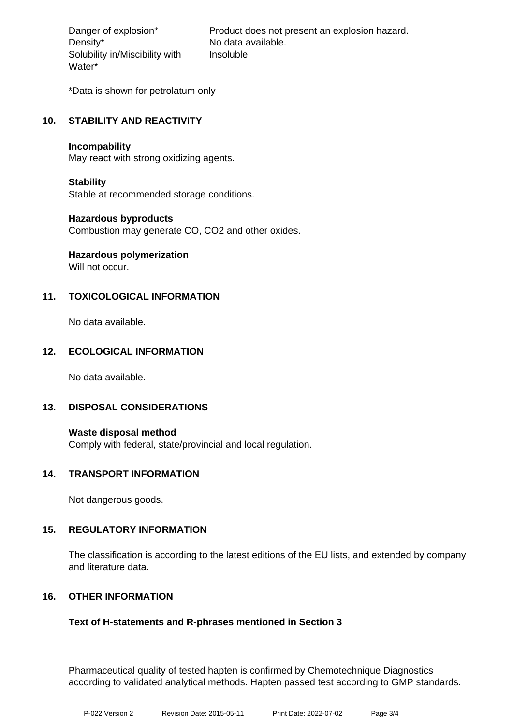Density\* No data available. Solubility in/Miscibility with Water\*

Danger of explosion\* Product does not present an explosion hazard. Insoluble

\*Data is shown for petrolatum only

# **10. STABILITY AND REACTIVITY**

#### **Incompability**

May react with strong oxidizing agents.

#### **Stability**

Stable at recommended storage conditions.

#### **Hazardous byproducts**

Combustion may generate CO, CO2 and other oxides.

# **Hazardous polymerization**

Will not occur.

# **11. TOXICOLOGICAL INFORMATION**

No data available.

# **12. ECOLOGICAL INFORMATION**

No data available.

#### **13. DISPOSAL CONSIDERATIONS**

**Waste disposal method** Comply with federal, state/provincial and local regulation.

#### **14. TRANSPORT INFORMATION**

Not dangerous goods.

#### **15. REGULATORY INFORMATION**

The classification is according to the latest editions of the EU lists, and extended by company and literature data.

# **16. OTHER INFORMATION**

# **Text of H-statements and R-phrases mentioned in Section 3**

Pharmaceutical quality of tested hapten is confirmed by Chemotechnique Diagnostics according to validated analytical methods. Hapten passed test according to GMP standards.